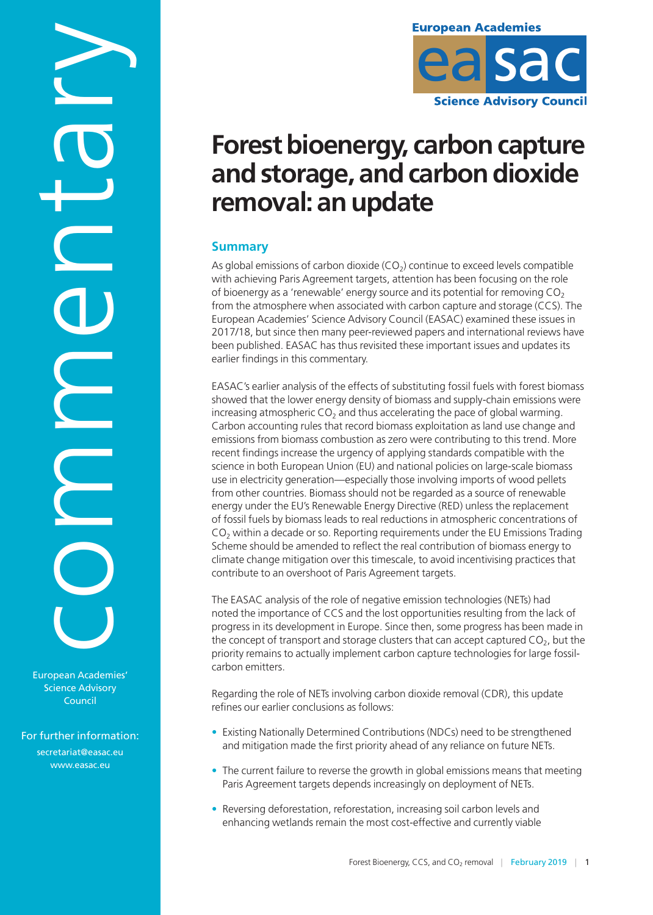European Academies' Science Advisory Commentary

For further information: secretariat@easac.eu [www.easac.eu](http://www.easac.eu)

Council



# **Forest bioenergy, carbon capture and storage, and carbon dioxide removal: an update**

# **Summary**

As global emissions of carbon dioxide  $(CO<sub>2</sub>)$  continue to exceed levels compatible with achieving Paris Agreement targets, attention has been focusing on the role of bioenergy as a 'renewable' energy source and its potential for removing  $CO<sub>2</sub>$ from the atmosphere when associated with carbon capture and storage (CCS). The European Academies' Science Advisory Council (EASAC) examined these issues in 2017/18, but since then many peer-reviewed papers and international reviews have been published. EASAC has thus revisited these important issues and updates its earlier findings in this commentary.

EASAC's earlier analysis of the effects of substituting fossil fuels with forest biomass showed that the lower energy density of biomass and supply-chain emissions were increasing atmospheric  $CO<sub>2</sub>$  and thus accelerating the pace of global warming. Carbon accounting rules that record biomass exploitation as land use change and emissions from biomass combustion as zero were contributing to this trend. More recent findings increase the urgency of applying standards compatible with the science in both European Union (EU) and national policies on large-scale biomass use in electricity generation—especially those involving imports of wood pellets from other countries. Biomass should not be regarded as a source of renewable energy under the EU's Renewable Energy Directive (RED) unless the replacement of fossil fuels by biomass leads to real reductions in atmospheric concentrations of  $CO<sub>2</sub>$  within a decade or so. Reporting requirements under the EU Emissions Trading Scheme should be amended to reflect the real contribution of biomass energy to climate change mitigation over this timescale, to avoid incentivising practices that contribute to an overshoot of Paris Agreement targets.

The EASAC analysis of the role of negative emission technologies (NETs) had noted the importance of CCS and the lost opportunities resulting from the lack of progress in its development in Europe. Since then, some progress has been made in the concept of transport and storage clusters that can accept captured  $CO<sub>2</sub>$ , but the priority remains to actually implement carbon capture technologies for large fossilcarbon emitters.

Regarding the role of NETs involving carbon dioxide removal (CDR), this update refines our earlier conclusions as follows:

- Existing Nationally Determined Contributions (NDCs) need to be strengthened and mitigation made the first priority ahead of any reliance on future NETs.
- The current failure to reverse the growth in global emissions means that meeting Paris Agreement targets depends increasingly on deployment of NETs.
- Reversing deforestation, reforestation, increasing soil carbon levels and enhancing wetlands remain the most cost-effective and currently viable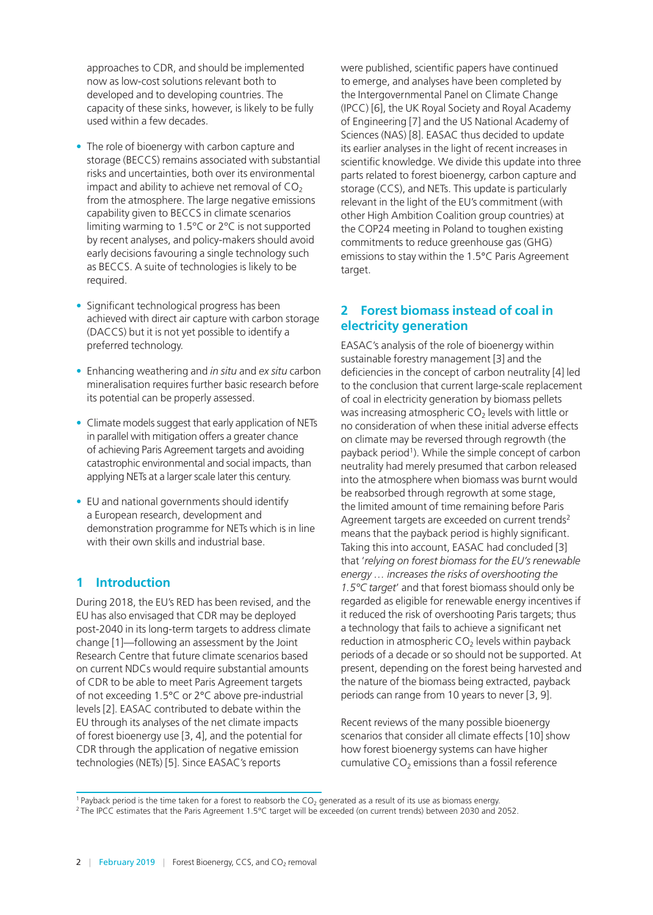approaches to CDR, and should be implemented now as low-cost solutions relevant both to developed and to developing countries. The capacity of these sinks, however, is likely to be fully used within a few decades.

- The role of bioenergy with carbon capture and storage (BECCS) remains associated with substantial risks and uncertainties, both over its environmental impact and ability to achieve net removal of  $CO<sub>2</sub>$ from the atmosphere. The large negative emissions capability given to BECCS in climate scenarios limiting warming to 1.5°C or 2°C is not supported by recent analyses, and policy-makers should avoid early decisions favouring a single technology such as BECCS. A suite of technologies is likely to be required.
- Significant technological progress has been achieved with direct air capture with carbon storage (DACCS) but it is not yet possible to identify a preferred technology.
- Enhancing weathering and *in situ* and *ex situ* carbon mineralisation requires further basic research before its potential can be properly assessed.
- Climate models suggest that early application of NETs in parallel with mitigation offers a greater chance of achieving Paris Agreement targets and avoiding catastrophic environmental and social impacts, than applying NETs at a larger scale later this century.
- EU and national governments should identify a European research, development and demonstration programme for NETs which is in line with their own skills and industrial base.

### **1 Introduction**

During 2018, the EU's RED has been revised, and the EU has also envisaged that CDR may be deployed post-2040 in its long-term targets to address climate change [[1](#page-9-0)]—following an assessment by the Joint Research Centre that future climate scenarios based on current NDCs would require substantial amounts of CDR to be able to meet Paris Agreement targets of not exceeding 1.5°C or 2°C above pre-industrial levels [\[2\]](#page-9-0). EASAC contributed to debate within the EU through its analyses of the net climate impacts of forest bioenergy use [3, 4], and the potential for CDR through the application of negative emission technologies (NETs) [5]. Since EASAC's reports

were published, scientific papers have continued to emerge, and analyses have been completed by the Intergovernmental Panel on Climate Change (IPCC) [6], the UK Royal Society and Royal Academy of Engineering [7] and the US National Academy of Sciences (NAS) [8]. EASAC thus decided to update its earlier analyses in the light of recent increases in scientific knowledge. We divide this update into three parts related to forest bioenergy, carbon capture and storage (CCS), and NETs. This update is particularly relevant in the light of the EU's commitment (with other High Ambition Coalition group countries) at the COP24 meeting in Poland to toughen existing commitments to reduce greenhouse gas (GHG) emissions to stay within the 1.5°C Paris Agreement target.

### **2 Forest biomass instead of coal in electricity generation**

EASAC's analysis of the role of bioenergy within sustainable forestry management [3] and the deficiencies in the concept of carbon neutrality [4] led to the conclusion that current large-scale replacement of coal in electricity generation by biomass pellets was increasing atmospheric  $CO<sub>2</sub>$  levels with little or no consideration of when these initial adverse effects on climate may be reversed through regrowth (the payback period<sup>1</sup>). While the simple concept of carbon neutrality had merely presumed that carbon released into the atmosphere when biomass was burnt would be reabsorbed through regrowth at some stage, the limited amount of time remaining before Paris Agreement targets are exceeded on current trends<sup>2</sup> means that the payback period is highly significant. Taking this into account, EASAC had concluded [3] that '*relying on forest biomass for the EU's renewable energy … increases the risks of overshooting the 1.5°C target*' and that forest biomass should only be regarded as eligible for renewable energy incentives if it reduced the risk of overshooting Paris targets; thus a technology that fails to achieve a significant net reduction in atmospheric  $CO<sub>2</sub>$  levels within payback periods of a decade or so should not be supported. At present, depending on the forest being harvested and the nature of the biomass being extracted, payback periods can range from 10 years to never [3, 9].

Recent reviews of the many possible bioenergy scenarios that consider all climate effects [10] show how forest bioenergy systems can have higher cumulative  $CO<sub>2</sub>$  emissions than a fossil reference

<sup>1</sup> Payback period is the time taken for a forest to reabsorb the  $CO_2$  generated as a result of its use as biomass energy.<br><sup>2</sup> The IPCC estimates that the Paris Agreement 1.5°C target will be exceeded (on current trends)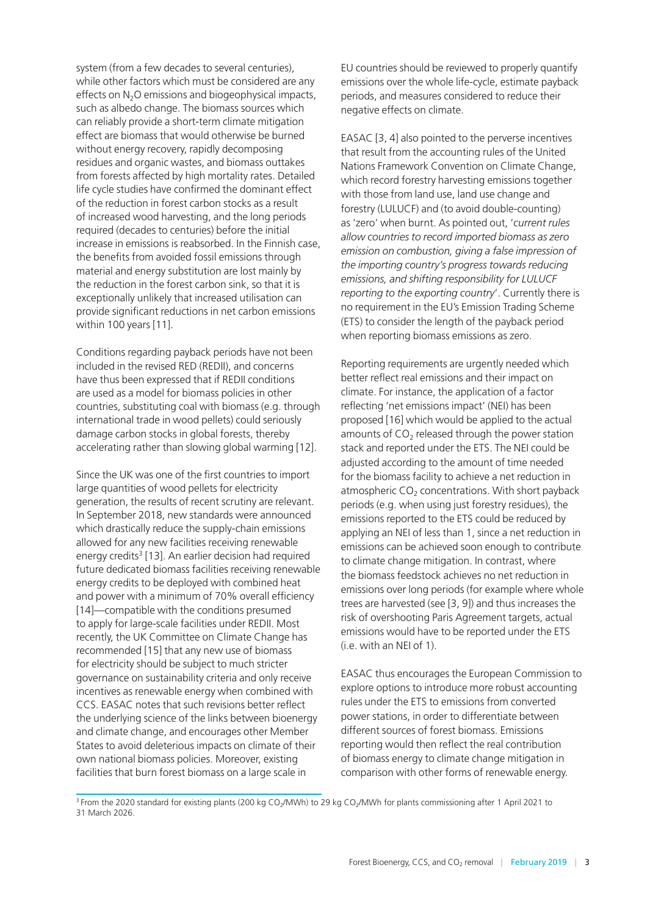system (from a few decades to several centuries), while other factors which must be considered are any effects on  $N<sub>2</sub>O$  emissions and biogeophysical impacts, such as albedo change. The biomass sources which can reliably provide a short-term climate mitigation effect are biomass that would otherwise be burned without energy recovery, rapidly decomposing residues and organic wastes, and biomass outtakes from forests affected by high mortality rates. Detailed life cycle studies have confirmed the dominant effect of the reduction in forest carbon stocks as a result of increased wood harvesting, and the long periods required (decades to centuries) before the initial increase in emissions is reabsorbed. In the Finnish case, the benefits from avoided fossil emissions through material and energy substitution are lost mainly by the reduction in the forest carbon sink, so that it is exceptionally unlikely that increased utilisation can provide significant reductions in net carbon emissions within 100 years [11].

Conditions regarding payback periods have not been included in the revised RED (REDII), and concerns have thus been expressed that if REDII conditions are used as a model for biomass policies in other countries, substituting coal with biomass (e.g. through international trade in wood pellets) could seriously damage carbon stocks in global forests, thereby accelerating rather than slowing global warming [12].

Since the UK was one of the first countries to import large quantities of wood pellets for electricity generation, the results of recent scrutiny are relevant. In September 2018, new standards were announced which drastically reduce the supply-chain emissions allowed for any new facilities receiving renewable energy credits<sup>3</sup> [13]. An earlier decision had required future dedicated biomass facilities receiving renewable energy credits to be deployed with combined heat and power with a minimum of 70% overall efficiency [14]—compatible with the conditions presumed to apply for large-scale facilities under REDII. Most recently, the UK Committee on Climate Change has recommended [15] that any new use of biomass for electricity should be subject to much stricter governance on sustainability criteria and only receive incentives as renewable energy when combined with CCS. EASAC notes that such revisions better reflect the underlying science of the links between bioenergy and climate change, and encourages other Member States to avoid deleterious impacts on climate of their own national biomass policies. Moreover, existing facilities that burn forest biomass on a large scale in

EU countries should be reviewed to properly quantify emissions over the whole life-cycle, estimate payback periods, and measures considered to reduce their negative effects on climate.

EASAC [3, 4] also pointed to the perverse incentives that result from the accounting rules of the United Nations Framework Convention on Climate Change, which record forestry harvesting emissions together with those from land use, land use change and forestry (LULUCF) and (to avoid double-counting) as 'zero' when burnt. As pointed out, '*current rules allow countries to record imported biomass as zero emission on combustion, giving a false impression of the importing country's progress towards reducing emissions, and shifting responsibility for LULUCF reporting to the exporting country*'. Currently there is no requirement in the EU's Emission Trading Scheme (ETS) to consider the length of the payback period when reporting biomass emissions as zero.

Reporting requirements are urgently needed which better reflect real emissions and their impact on climate. For instance, the application of a factor reflecting 'net emissions impact' (NEI) has been proposed [16] which would be applied to the actual amounts of  $CO<sub>2</sub>$  released through the power station stack and reported under the ETS. The NEI could be adjusted according to the amount of time needed for the biomass facility to achieve a net reduction in atmospheric  $CO<sub>2</sub>$  concentrations. With short payback periods (e.g. when using just forestry residues), the emissions reported to the ETS could be reduced by applying an NEI of less than 1, since a net reduction in emissions can be achieved soon enough to contribute to climate change mitigation. In contrast, where the biomass feedstock achieves no net reduction in emissions over long periods (for example where whole trees are harvested (see [3, 9]) and thus increases the risk of overshooting Paris Agreement targets, actual emissions would have to be reported under the ETS (i.e. with an NEI of 1).

EASAC thus encourages the European Commission to explore options to introduce more robust accounting rules under the ETS to emissions from converted power stations, in order to differentiate between different sources of forest biomass. Emissions reporting would then reflect the real contribution of biomass energy to climate change mitigation in comparison with other forms of renewable energy.

<sup>3</sup> From the 2020 standard for existing plants (200 kg CO<sub>2</sub>/MWh) to 29 kg CO<sub>2</sub>/MWh for plants commissioning after 1 April 2021 to 31 March 2026.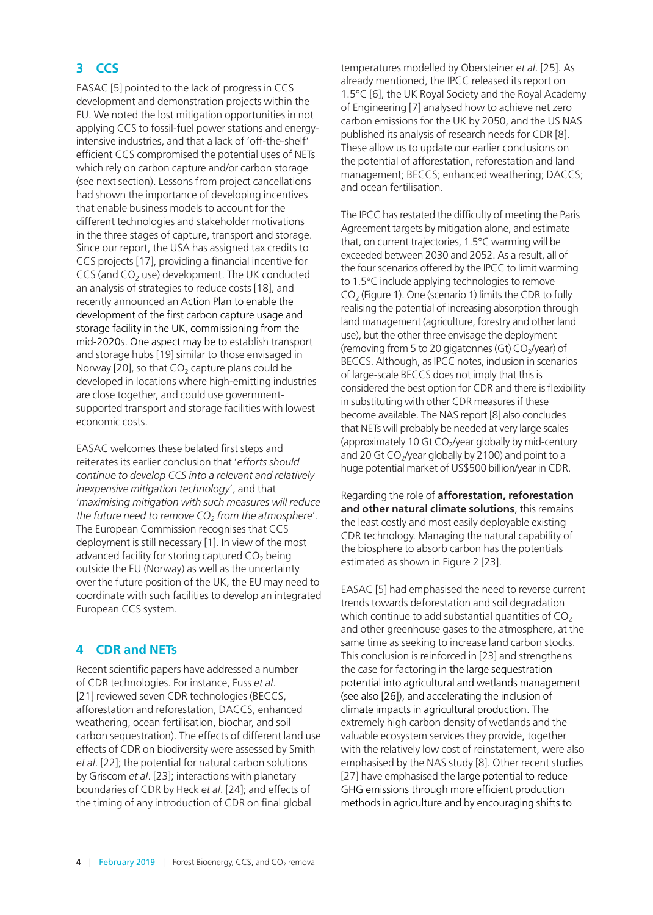## **3 CCS**

EASAC [5] pointed to the lack of progress in CCS development and demonstration projects within the EU. We noted the lost mitigation opportunities in not applying CCS to fossil-fuel power stations and energyintensive industries, and that a lack of 'off-the-shelf' efficient CCS compromised the potential uses of NETs which rely on carbon capture and/or carbon storage (see next section). Lessons from project cancellations had shown the importance of developing incentives that enable business models to account for the different technologies and stakeholder motivations in the three stages of capture, transport and storage. Since our report, the USA has assigned tax credits to CCS projects [17], providing a financial incentive for  $CCS$  (and  $CO<sub>2</sub>$  use) development. The UK conducted an analysis of strategies to reduce costs [18], and recently announced an Action Plan to enable the development of the first carbon capture usage and storage facility in the UK, commissioning from the mid-2020s. One aspect may be to establish transport and storage hubs [19] similar to those envisaged in Norway [20], so that  $CO<sub>2</sub>$  capture plans could be developed in locations where high-emitting industries are close together, and could use governmentsupported transport and storage facilities with lowest economic costs.

EASAC welcomes these belated first steps and reiterates its earlier conclusion that '*efforts should continue to develop CCS into a relevant and relatively inexpensive mitigation technology*', and that '*maximising mitigation with such measures will reduce*  the future need to remove  $CO<sub>2</sub>$  from the atmosphere'. The European Commission recognises that CCS deployment is still necessary [\[1\]](#page-9-0). In view of the most advanced facility for storing captured  $CO<sub>2</sub>$  being outside the EU (Norway) as well as the uncertainty over the future position of the UK, the EU may need to coordinate with such facilities to develop an integrated European CCS system.

#### **4 CDR and NETs**

Recent scientific papers have addressed a number of CDR technologies. For instance, Fuss *et al*. [21] reviewed seven CDR technologies (BECCS, afforestation and reforestation, DACCS, enhanced weathering, ocean fertilisation, biochar, and soil carbon sequestration). The effects of different land use effects of CDR on biodiversity were assessed by Smith *et al*. [22]; the potential for natural carbon solutions by Griscom *et al*. [23]; interactions with planetary boundaries of CDR by Heck *et al*. [24]; and effects of the timing of any introduction of CDR on final global

temperatures modelled by Obersteiner *et al*. [25]. As already mentioned, the IPCC released its report on 1.5°C [6], the UK Royal Society and the Royal Academy of Engineering [7] analysed how to achieve net zero carbon emissions for the UK by 2050, and the US NAS published its analysis of research needs for CDR [8]. These allow us to update our earlier conclusions on the potential of afforestation, reforestation and land management; BECCS; enhanced weathering; DACCS; and ocean fertilisation.

The IPCC has restated the difficulty of meeting the Paris Agreement targets by mitigation alone, and estimate that, on current trajectories, 1.5°C warming will be exceeded between 2030 and 2052. As a result, all of the four scenarios offered by the IPCC to limit warming to 1.5°C include applying technologies to remove  $CO<sub>2</sub>$  (Figure 1). One (scenario 1) limits the CDR to fully realising the potential of increasing absorption through land management (agriculture, forestry and other land use), but the other three envisage the deployment (removing from 5 to 20 gigatonnes (Gt)  $CO<sub>2</sub>/year$ ) of BECCS. Although, as IPCC notes, inclusion in scenarios of large-scale BECCS does not imply that this is considered the best option for CDR and there is flexibility in substituting with other CDR measures if these become available. The NAS report [8] also concludes that NETs will probably be needed at very large scales (approximately 10 Gt  $CO<sub>2</sub>/year$  globally by mid-century and 20 Gt  $CO<sub>2</sub>/year$  globally by 2100) and point to a huge potential market of US\$500 billion/year in CDR.

Regarding the role of **afforestation, reforestation and other natural climate solutions**, this remains the least costly and most easily deployable existing CDR technology. Managing the natural capability of the biosphere to absorb carbon has the potentials estimated as shown in Figure 2 [23].

EASAC [5] had emphasised the need to reverse current trends towards deforestation and soil degradation which continue to add substantial quantities of  $CO<sub>2</sub>$ and other greenhouse gases to the atmosphere, at the same time as seeking to increase land carbon stocks. This conclusion is reinforced in [23] and strengthens the case for factoring in the large sequestration potential into agricultural and wetlands management (see also [26]), and accelerating the inclusion of climate impacts in agricultural production. The extremely high carbon density of wetlands and the valuable ecosystem services they provide, together with the relatively low cost of reinstatement, were also emphasised by the NAS study [8]. Other recent studies [27] have emphasised the large potential to reduce GHG emissions through more efficient production methods in agriculture and by encouraging shifts to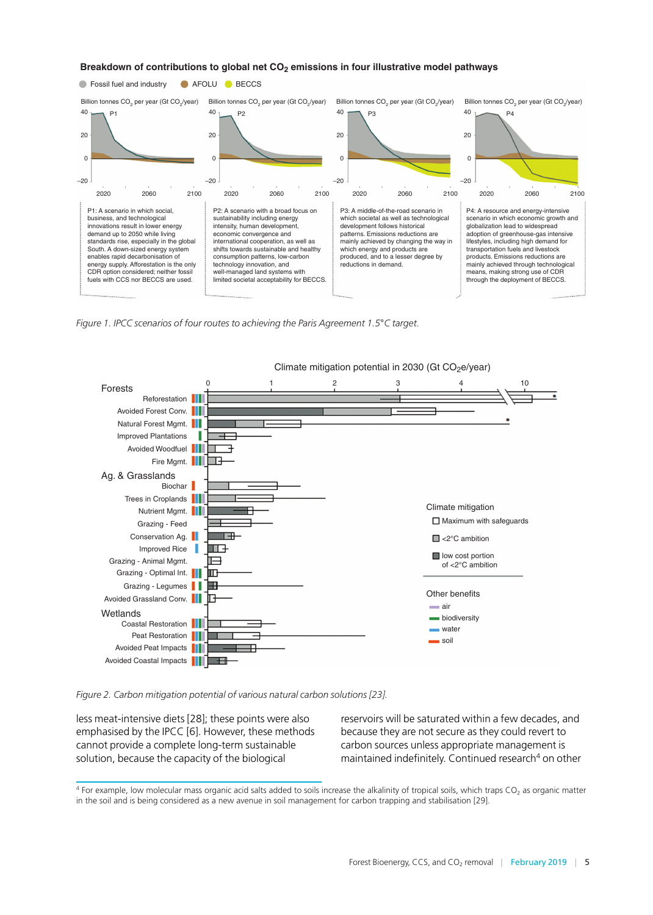

P3: A middle-of-the-road scenario in which societal as well as technological development follows historical patterns. Emissions reductions are mainly achieved by changing the way in which energy and products are produced, and to a lesser degree by reductions in demand.

2060 2100 2020 2060 2100 2020 2060 2100 2020 2060 2100

 $\mathbf 0$ 

–20

P4: A resource and energy-intensive scenario in which economic growth and globalization lead to widespread adoption of greenhouse-gas intensive lifestyles, including high demand for transportation fuels and livestock products. Emissions reductions are mainly achieved through technological means, making strong use of CDR through the deployment of BECCS.

 $\mathbf 0$ 

–20

*Figure 1. IPCC scenarios of four routes to achieving the Paris Agreement 1.5*°*C target.*

P2: A scenario with a broad focus on sustainability including energy intensity, human development, economic convergence and international cooperation, as well as shifts towards sustainable and healthy consumption patterns, low-carbon technology innovation, and well-managed land systems with limited societal acceptability for BECCS.

 $\mathbf 0$ 

–20

 $\mathbf 0$ 

–20

2020

P1: A scenario in which social, business, and technological innovations result in lower energy demand up to 2050 while living standards rise, especially in the global South. A down-sized energy system enables rapid decarbonisation of energy supply. Afforestation is the only CDR option considered; neither fossil fuels with CCS nor BECCS are used.



*Figure 2. Carbon mitigation potential of various natural carbon solutions [23].*

less meat-intensive diets [28]; these points were also emphasised by the IPCC [6]. However, these methods cannot provide a complete long-term sustainable solution, because the capacity of the biological

reservoirs will be saturated within a few decades, and because they are not secure as they could revert to carbon sources unless appropriate management is maintained indefinitely. Continued research<sup>4</sup> on other

 $4$  For example, low molecular mass organic acid salts added to soils increase the alkalinity of tropical soils, which traps  $CO<sub>2</sub>$  as organic matter in the soil and is being considered as a new avenue in soil management for carbon trapping and stabilisation [29].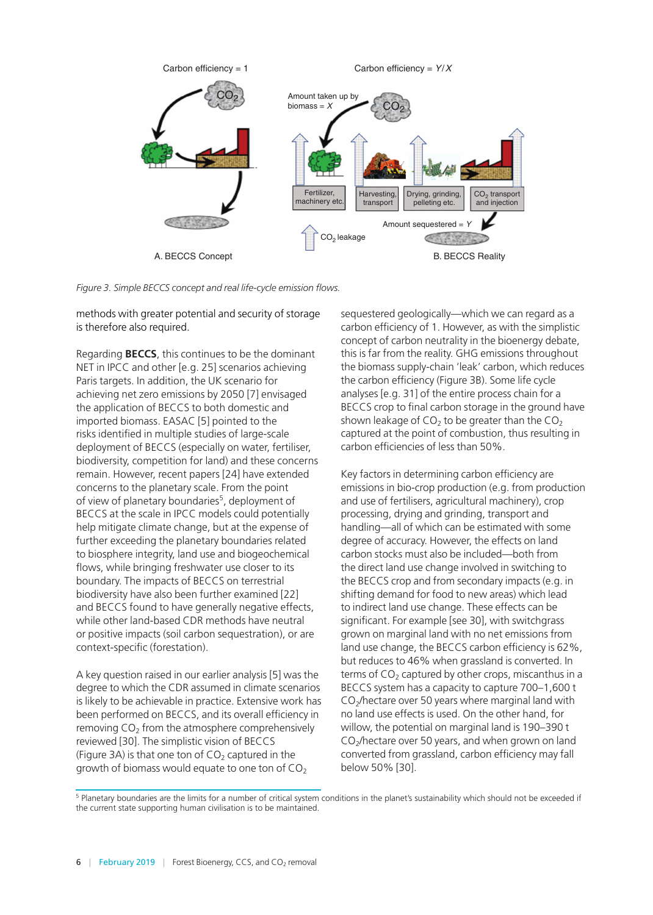

*Figure 3. Simple BECCS concept and real life-cycle emission flows.*

methods with greater potential and security of storage is therefore also required.

Regarding **BECCS**, this continues to be the dominant NET in IPCC and other [e.g. 25] scenarios achieving Paris targets. In addition, the UK scenario for achieving net zero emissions by 2050 [7] envisaged the application of BECCS to both domestic and imported biomass. EASAC [5] pointed to the risks identified in multiple studies of large-scale deployment of BECCS (especially on water, fertiliser, biodiversity, competition for land) and these concerns remain. However, recent papers [24] have extended concerns to the planetary scale. From the point of view of planetary boundaries<sup>5</sup>, deployment of BECCS at the scale in IPCC models could potentially help mitigate climate change, but at the expense of further exceeding the planetary boundaries related to biosphere integrity, land use and biogeochemical flows, while bringing freshwater use closer to its boundary. The impacts of BECCS on terrestrial biodiversity have also been further examined [22] and BECCS found to have generally negative effects, while other land-based CDR methods have neutral or positive impacts (soil carbon sequestration), or are context-specific (forestation).

A key question raised in our earlier analysis [5] was the degree to which the CDR assumed in climate scenarios is likely to be achievable in practice. Extensive work has been performed on BECCS, and its overall efficiency in removing  $CO<sub>2</sub>$  from the atmosphere comprehensively reviewed [30]. The simplistic vision of BECCS (Figure 3A) is that one ton of  $CO<sub>2</sub>$  captured in the growth of biomass would equate to one ton of  $CO<sub>2</sub>$ 

sequestered geologically—which we can regard as a carbon efficiency of 1. However, as with the simplistic concept of carbon neutrality in the bioenergy debate, this is far from the reality. GHG emissions throughout the biomass supply-chain 'leak' carbon, which reduces the carbon efficiency (Figure 3B). Some life cycle analyses [e.g. 31] of the entire process chain for a BECCS crop to final carbon storage in the ground have shown leakage of  $CO<sub>2</sub>$  to be greater than the  $CO<sub>2</sub>$ captured at the point of combustion, thus resulting in carbon efficiencies of less than 50%.

Key factors in determining carbon efficiency are emissions in bio-crop production (e.g. from production and use of fertilisers, agricultural machinery), crop processing, drying and grinding, transport and handling—all of which can be estimated with some degree of accuracy. However, the effects on land carbon stocks must also be included—both from the direct land use change involved in switching to the BECCS crop and from secondary impacts (e.g. in shifting demand for food to new areas) which lead to indirect land use change. These effects can be significant. For example [see 30], with switchgrass grown on marginal land with no net emissions from land use change, the BECCS carbon efficiency is 62%, but reduces to 46% when grassland is converted. In terms of  $CO<sub>2</sub>$  captured by other crops, miscanthus in a BECCS system has a capacity to capture 700–1,600 t  $CO<sub>2</sub>/$ hectare over 50 years where marginal land with no land use effects is used. On the other hand, for willow, the potential on marginal land is 190–390 t  $CO<sub>2</sub>/$ hectare over 50 years, and when grown on land converted from grassland, carbon efficiency may fall below 50% [30].

<sup>5</sup> Planetary boundaries are the limits for a number of critical system conditions in the planet's sustainability which should not be exceeded if the current state supporting human civilisation is to be maintained.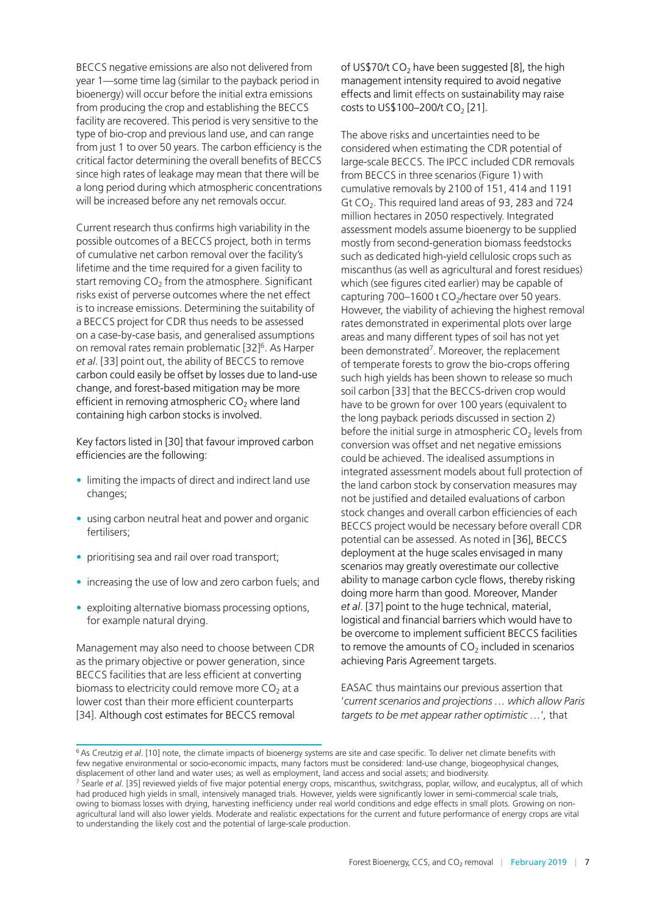BECCS negative emissions are also not delivered from year 1—some time lag (similar to the payback period in bioenergy) will occur before the initial extra emissions from producing the crop and establishing the BECCS facility are recovered. This period is very sensitive to the type of bio-crop and previous land use, and can range from just 1 to over 50 years. The carbon efficiency is the critical factor determining the overall benefits of BECCS since high rates of leakage may mean that there will be a long period during which atmospheric concentrations will be increased before any net removals occur.

Current research thus confirms high variability in the possible outcomes of a BECCS project, both in terms of cumulative net carbon removal over the facility's lifetime and the time required for a given facility to start removing  $CO<sub>2</sub>$  from the atmosphere. Significant risks exist of perverse outcomes where the net effect is to increase emissions. Determining the suitability of a BECCS project for CDR thus needs to be assessed on a case-by-case basis, and generalised assumptions on removal rates remain problematic [32]<sup>6</sup>. As Harper *et al*. [33] point out, the ability of BECCS to remove carbon could easily be offset by losses due to land-use change, and forest-based mitigation may be more efficient in removing atmospheric  $CO<sub>2</sub>$  where land containing high carbon stocks is involved.

Key factors listed in [30] that favour improved carbon efficiencies are the following:

- limiting the impacts of direct and indirect land use changes;
- using carbon neutral heat and power and organic fertilisers;
- prioritising sea and rail over road transport;
- increasing the use of low and zero carbon fuels; and
- exploiting alternative biomass processing options, for example natural drying.

Management may also need to choose between CDR as the primary objective or power generation, since BECCS facilities that are less efficient at converting biomass to electricity could remove more  $CO<sub>2</sub>$  at a lower cost than their more efficient counterparts [34]. Although cost estimates for BECCS removal

of US\$70/t  $CO<sub>2</sub>$  have been suggested [8], the high management intensity required to avoid negative effects and limit effects on sustainability may raise costs to US\$100-200/t  $CO<sub>2</sub>$  [21].

The above risks and uncertainties need to be considered when estimating the CDR potential of large-scale BECCS. The IPCC included CDR removals from BECCS in three scenarios (Figure 1) with cumulative removals by 2100 of 151, 414 and 1191 Gt  $CO<sub>2</sub>$ . This required land areas of 93, 283 and 724 million hectares in 2050 respectively. Integrated assessment models assume bioenergy to be supplied mostly from second-generation biomass feedstocks such as dedicated high-yield cellulosic crops such as miscanthus (as well as agricultural and forest residues) which (see figures cited earlier) may be capable of capturing  $700-1600$  t CO<sub>2</sub>/hectare over 50 years. However, the viability of achieving the highest removal rates demonstrated in experimental plots over large areas and many different types of soil has not yet been demonstrated<sup>7</sup>. Moreover, the replacement of temperate forests to grow the bio-crops offering such high yields has been shown to release so much soil carbon [33] that the BECCS-driven crop would have to be grown for over 100 years (equivalent to the long payback periods discussed in section 2) before the initial surge in atmospheric  $CO<sub>2</sub>$  levels from conversion was offset and net negative emissions could be achieved. The idealised assumptions in integrated assessment models about full protection of the land carbon stock by conservation measures may not be justified and detailed evaluations of carbon stock changes and overall carbon efficiencies of each BECCS project would be necessary before overall CDR potential can be assessed. As noted in [36], BECCS deployment at the huge scales envisaged in many scenarios may greatly overestimate our collective ability to manage carbon cycle flows, thereby risking doing more harm than good. Moreover, Mander *et al*. [37] point to the huge technical, material, logistical and financial barriers which would have to be overcome to implement sufficient BECCS facilities to remove the amounts of  $CO<sub>2</sub>$  included in scenarios achieving Paris Agreement targets.

EASAC thus maintains our previous assertion that '*current scenarios and projections … which allow Paris targets to be met appear rather optimistic …*'*,* that

<sup>6</sup> As Creutzig *et al*. [10] note, the climate impacts of bioenergy systems are site and case specific. To deliver net climate benefits with few negative environmental or socio-economic impacts, many factors must be considered: land-use change, biogeophysical changes, displacement of other land and water uses; as well as employment, land access and social assets; and biodiversity. 7 Searle *et al*. [35] reviewed yields of five major potential energy crops, miscanthus, switchgrass, poplar, willow, and eucalyptus, all of which had produced high yields in small, intensively managed trials. However, yields were significantly lower in semi-commercial scale trials, owing to biomass losses with drying, harvesting inefficiency under real world conditions and edge effects in small plots. Growing on nonagricultural land will also lower yields. Moderate and realistic expectations for the current and future performance of energy crops are vital to understanding the likely cost and the potential of large-scale production.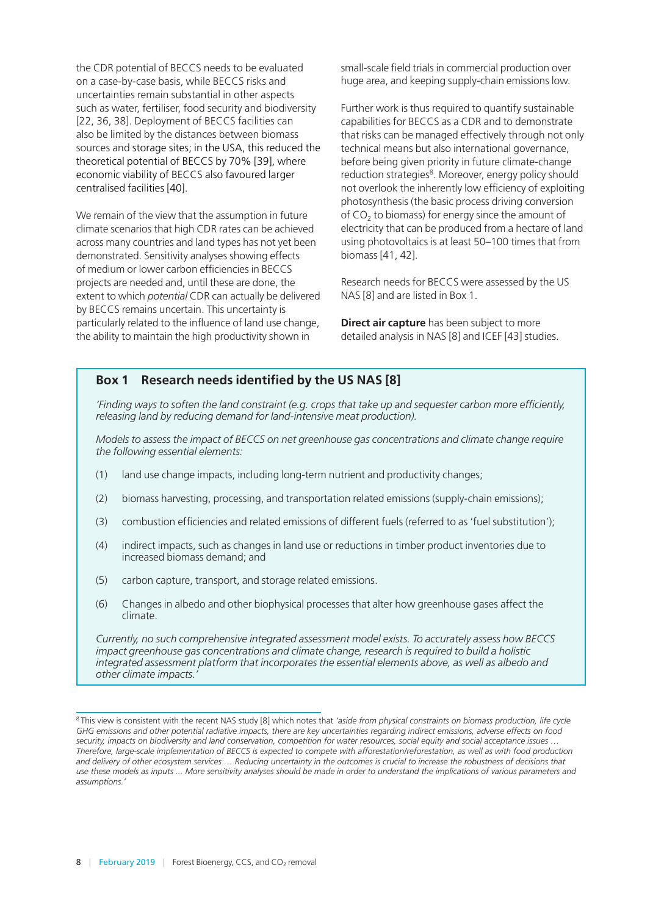the CDR potential of BECCS needs to be evaluated on a case-by-case basis, while BECCS risks and uncertainties remain substantial in other aspects such as water, fertiliser, food security and biodiversity [22, 36, 38]. Deployment of BECCS facilities can also be limited by the distances between biomass sources and storage sites; in the USA, this reduced the theoretical potential of BECCS by 70% [39], where economic viability of BECCS also favoured larger centralised facilities [40].

We remain of the view that the assumption in future climate scenarios that high CDR rates can be achieved across many countries and land types has not yet been demonstrated. Sensitivity analyses showing effects of medium or lower carbon efficiencies in BECCS projects are needed and, until these are done, the extent to which *potential* CDR can actually be delivered by BECCS remains uncertain. This uncertainty is particularly related to the influence of land use change, the ability to maintain the high productivity shown in

small-scale field trials in commercial production over huge area, and keeping supply-chain emissions low.

Further work is thus required to quantify sustainable capabilities for BECCS as a CDR and to demonstrate that risks can be managed effectively through not only technical means but also international governance, before being given priority in future climate-change reduction strategies<sup>8</sup>. Moreover, energy policy should not overlook the inherently low efficiency of exploiting photosynthesis (the basic process driving conversion of  $CO<sub>2</sub>$  to biomass) for energy since the amount of electricity that can be produced from a hectare of land using photovoltaics is at least 50–100 times that from biomass [41, 42].

Research needs for BECCS were assessed by the US NAS [8] and are listed in Box 1.

**Direct air capture** has been subject to more detailed analysis in NAS [8] and ICEF [43] studies.

#### **Box 1 Research needs identified by the US NAS [8]**

*'Finding ways to soften the land constraint (e.g. crops that take up and sequester carbon more efficiently, releasing land by reducing demand for land-intensive meat production).*

*Models to assess the impact of BECCS on net greenhouse gas concentrations and climate change require the following essential elements:*

- (1) land use change impacts, including long-term nutrient and productivity changes;
- (2) biomass harvesting, processing, and transportation related emissions (supply-chain emissions);
- (3) combustion efficiencies and related emissions of different fuels (referred to as 'fuel substitution');
- (4) indirect impacts, such as changes in land use or reductions in timber product inventories due to increased biomass demand; and
- (5) carbon capture, transport, and storage related emissions.
- (6) Changes in albedo and other biophysical processes that alter how greenhouse gases affect the climate.

*Currently, no such comprehensive integrated assessment model exists. To accurately assess how BECCS impact greenhouse gas concentrations and climate change, research is required to build a holistic integrated assessment platform that incorporates the essential elements above, as well as albedo and other climate impacts.'*

<sup>8</sup> This view is consistent with the recent NAS study [8] which notes that *'aside from physical constraints on biomass production, life cycle GHG emissions and other potential radiative impacts, there are key uncertainties regarding indirect emissions, adverse effects on food security, impacts on biodiversity and land conservation, competition for water resources, social equity and social acceptance issues … Therefore, large-scale implementation of BECCS is expected to compete with afforestation/reforestation, as well as with food production*  and delivery of other ecosystem services ... Reducing uncertainty in the outcomes is crucial to increase the robustness of decisions that *use these models as inputs ... More sensitivity analyses should be made in order to understand the implications of various parameters and assumptions.'*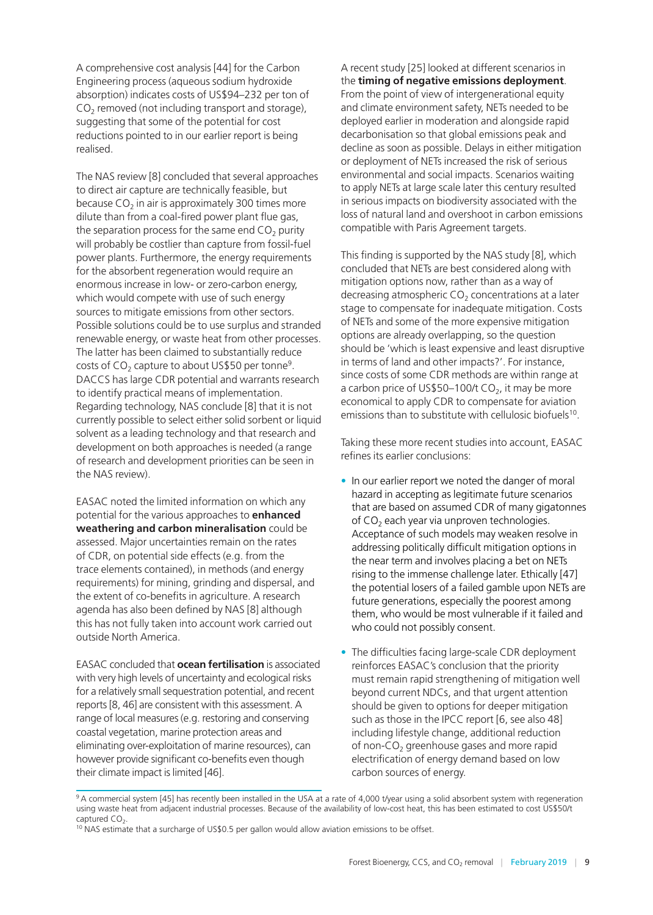A comprehensive cost analysis [44] for the Carbon Engineering process (aqueous sodium hydroxide absorption) indicates costs of US\$94–232 per ton of  $CO<sub>2</sub>$  removed (not including transport and storage), suggesting that some of the potential for cost reductions pointed to in our earlier report is being realised.

The NAS review [8] concluded that several approaches to direct air capture are technically feasible, but because  $CO<sub>2</sub>$  in air is approximately 300 times more dilute than from a coal-fired power plant flue gas, the separation process for the same end  $CO<sub>2</sub>$  purity will probably be costlier than capture from fossil-fuel power plants. Furthermore, the energy requirements for the absorbent regeneration would require an enormous increase in low- or zero-carbon energy, which would compete with use of such energy sources to mitigate emissions from other sectors. Possible solutions could be to use surplus and stranded renewable energy, or waste heat from other processes. The latter has been claimed to substantially reduce costs of  $CO<sub>2</sub>$  capture to about US\$50 per tonne<sup>9</sup>. DACCS has large CDR potential and warrants research to identify practical means of implementation. Regarding technology, NAS conclude [8] that it is not currently possible to select either solid sorbent or liquid solvent as a leading technology and that research and development on both approaches is needed (a range of research and development priorities can be seen in the NAS review).

EASAC noted the limited information on which any potential for the various approaches to **enhanced weathering and carbon mineralisation** could be assessed. Major uncertainties remain on the rates of CDR, on potential side effects (e.g. from the trace elements contained), in methods (and energy requirements) for mining, grinding and dispersal, and the extent of co-benefits in agriculture. A research agenda has also been defined by NAS [8] although this has not fully taken into account work carried out outside North America.

EASAC concluded that **ocean fertilisation** is associated with very high levels of uncertainty and ecological risks for a relatively small sequestration potential, and recent reports [8, 46] are consistent with this assessment. A range of local measures (e.g. restoring and conserving coastal vegetation, marine protection areas and eliminating over-exploitation of marine resources), can however provide significant co-benefits even though their climate impact is limited [46].

A recent study [25] looked at different scenarios in the **timing of negative emissions deployment**. From the point of view of intergenerational equity and climate environment safety, NETs needed to be deployed earlier in moderation and alongside rapid decarbonisation so that global emissions peak and decline as soon as possible. Delays in either mitigation or deployment of NETs increased the risk of serious environmental and social impacts. Scenarios waiting to apply NETs at large scale later this century resulted in serious impacts on biodiversity associated with the loss of natural land and overshoot in carbon emissions compatible with Paris Agreement targets.

This finding is supported by the NAS study [8], which concluded that NETs are best considered along with mitigation options now, rather than as a way of decreasing atmospheric  $CO<sub>2</sub>$  concentrations at a later stage to compensate for inadequate mitigation. Costs of NETs and some of the more expensive mitigation options are already overlapping, so the question should be 'which is least expensive and least disruptive in terms of land and other impacts?'. For instance, since costs of some CDR methods are within range at a carbon price of US\$50–100/t  $CO<sub>2</sub>$ , it may be more economical to apply CDR to compensate for aviation emissions than to substitute with cellulosic biofuels<sup>10</sup>.

Taking these more recent studies into account, EASAC refines its earlier conclusions:

- In our earlier report we noted the danger of moral hazard in accepting as legitimate future scenarios that are based on assumed CDR of many gigatonnes of  $CO<sub>2</sub>$  each year via unproven technologies. Acceptance of such models may weaken resolve in addressing politically difficult mitigation options in the near term and involves placing a bet on NETs rising to the immense challenge later. Ethically [47] the potential losers of a failed gamble upon NETs are future generations, especially the poorest among them, who would be most vulnerable if it failed and who could not possibly consent.
- The difficulties facing large-scale CDR deployment reinforces EASAC's conclusion that the priority must remain rapid strengthening of mitigation well beyond current NDCs, and that urgent attention should be given to options for deeper mitigation such as those in the IPCC report [6, see also 48] including lifestyle change, additional reduction of non-CO<sub>2</sub> greenhouse gases and more rapid electrification of energy demand based on low carbon sources of energy.

<sup>&</sup>lt;sup>9</sup> A commercial system [45] has recently been installed in the USA at a rate of 4,000 t/year using a solid absorbent system with regeneration using waste heat from adjacent industrial processes. Because of the availability of low-cost heat, this has been estimated to cost US\$50/t captured CO<sub>2</sub>.<br><sup>10</sup> NAS estimate that a surcharge of US\$0.5 per gallon would allow aviation emissions to be offset.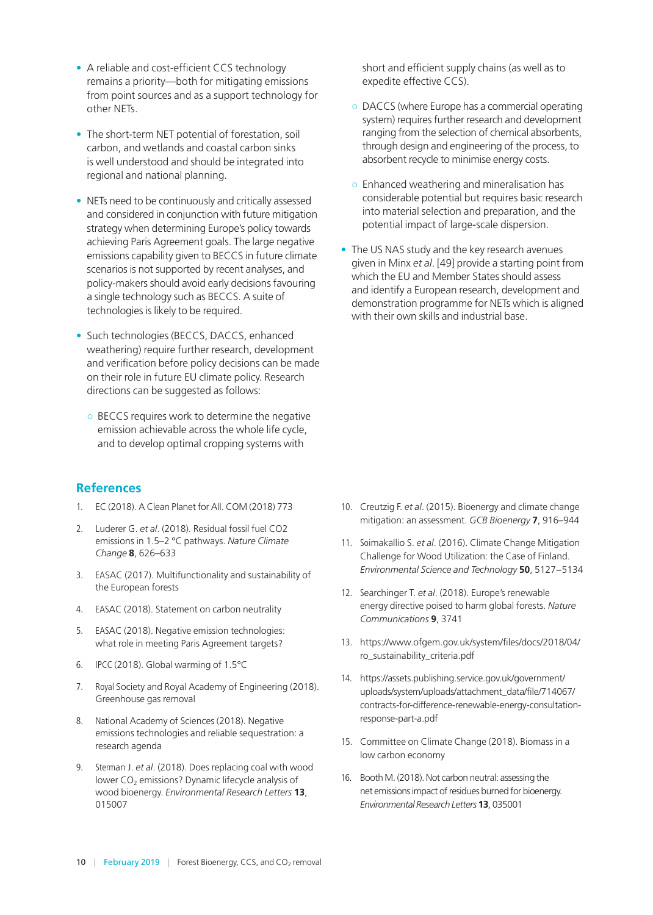- <span id="page-9-0"></span>• A reliable and cost-efficient CCS technology remains a priority—both for mitigating emissions from point sources and as a support technology for other NETs.
- The short-term NET potential of forestation, soil carbon, and wetlands and coastal carbon sinks is well understood and should be integrated into regional and national planning.
- NETs need to be continuously and critically assessed and considered in conjunction with future mitigation strategy when determining Europe's policy towards achieving Paris Agreement goals. The large negative emissions capability given to BECCS in future climate scenarios is not supported by recent analyses, and policy-makers should avoid early decisions favouring a single technology such as BECCS. A suite of technologies is likely to be required.
- Such technologies (BECCS, DACCS, enhanced weathering) require further research, development and verification before policy decisions can be made on their role in future EU climate policy. Research directions can be suggested as follows:
	- BECCS requires work to determine the negative emission achievable across the whole life cycle, and to develop optimal cropping systems with

#### **References**

- 1. EC (2018). A Clean Planet for All. COM (2018) 773
- 2. Luderer G. *et al*. (2018). Residual fossil fuel CO2 emissions in 1.5–2 °C pathways. *Nature Climate Change* **8**, 626–633
- 3. EASAC (2017). Multifunctionality and sustainability of the European forests
- 4. EASAC (2018). Statement on carbon neutrality
- 5. EASAC (2018). Negative emission technologies: what role in meeting Paris Agreement targets?
- 6. IPCC (2018). Global warming of 1.5°C
- 7. Royal Society and Royal Academy of Engineering (2018). Greenhouse gas removal
- 8. National Academy of Sciences (2018). Negative emissions technologies and reliable sequestration: a research agenda
- 9. Sterman J. *et al*. (2018). Does replacing coal with wood lower  $CO<sub>2</sub>$  emissions? Dynamic lifecycle analysis of wood bioenergy. *Environmental Research Letters* **13**, 015007

short and efficient supply chains (as well as to expedite effective CCS).

- DACCS (where Europe has a commercial operating system) requires further research and development ranging from the selection of chemical absorbents, through design and engineering of the process, to absorbent recycle to minimise energy costs.
- Enhanced weathering and mineralisation has considerable potential but requires basic research into material selection and preparation, and the potential impact of large-scale dispersion.
- The US NAS study and the key research avenues given in Minx *et al*. [49] provide a starting point from which the EU and Member States should assess and identify a European research, development and demonstration programme for NETs which is aligned with their own skills and industrial base.

- 10. Creutzig F. *et al*. (2015). Bioenergy and climate change mitigation: an assessment. *GCB Bioenergy* **7**, 916–944
- 11. Soimakallio S. *et al*. (2016). Climate Change Mitigation Challenge for Wood Utilization: the Case of Finland. *Environmental Science and Technology* **50**, 5127−5134
- 12. Searchinger T. *et al*. (2018). Europe's renewable energy directive poised to harm global forests. *Nature Communications* **9**, 3741
- 13. https://www.ofgem.gov.uk/system/files/docs/2018/04/ ro\_sustainability\_criteria.pdf
- 14. https://assets.publishing.service.gov.uk/government/ uploads/system/uploads/attachment\_data/file/714067/ contracts-for-difference-renewable-energy-consultationresponse-part-a.pdf
- 15. Committee on Climate Change (2018). Biomass in a low carbon economy
- 16. Booth M. (2018). Not carbon neutral: assessing the net emissions impact of residues burned for bioenergy. *Environmental Research Letters* **13**, 035001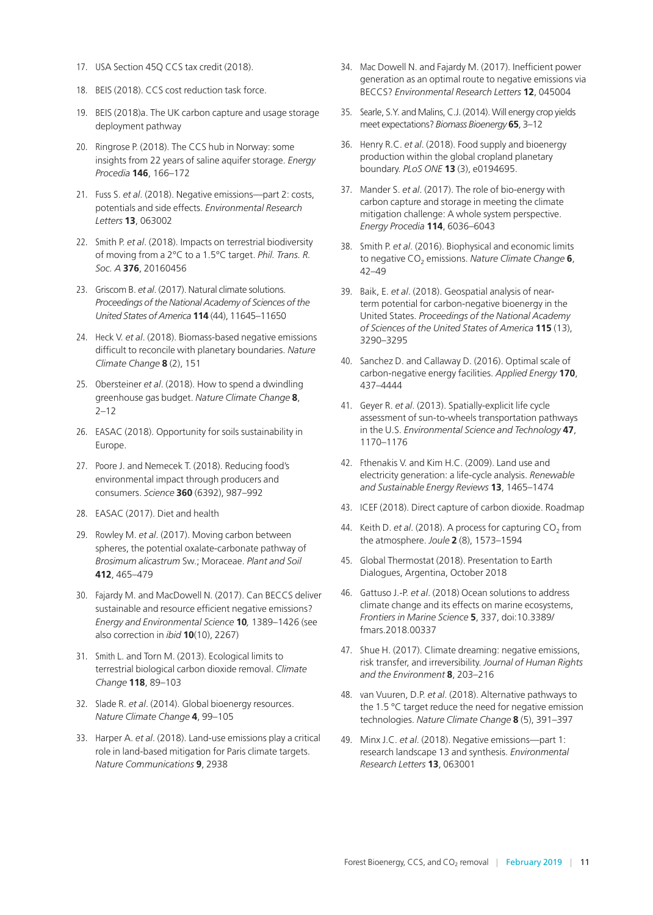- 17. USA Section 45Q CCS tax credit (2018).
- 18. BEIS (2018). CCS cost reduction task force.
- 19. BEIS (2018)a. The UK carbon capture and usage storage deployment pathway
- 20. Ringrose P. (2018). The CCS hub in Norway: some insights from 22 years of saline aquifer storage. *Energy Procedia* **146**, 166–172
- 21. Fuss S. *et al*. (2018). Negative emissions—part 2: costs, potentials and side effects. *Environmental Research Letters* **13**, 063002
- 22. Smith P. *et al*. (2018). Impacts on terrestrial biodiversity of moving from a 2°C to a 1.5°C target. *Phil. Trans. R. Soc. A* **376**, 20160456
- 23. Griscom B. *et al*. (2017). Natural climate solutions. *Proceedings of the National Academy of Sciences of the United States of America* **114** (44), 11645–11650
- 24. Heck V. *et al*. (2018). Biomass-based negative emissions difficult to reconcile with planetary boundaries. *Nature Climate Change* **8** (2), 151
- 25. Obersteiner *et al*. (2018). How to spend a dwindling greenhouse gas budget. *Nature Climate Change* **8**, 2–12
- 26. EASAC (2018). Opportunity for soils sustainability in Europe.
- 27. Poore J. and Nemecek T. (2018). Reducing food's environmental impact through producers and consumers. *Science* **360** (6392), 987–992
- 28. EASAC (2017). Diet and health
- 29. Rowley M. *et al*. (2017). Moving carbon between spheres, the potential oxalate-carbonate pathway of *Brosimum alicastrum* Sw.; Moraceae. *Plant and Soil* **412**, 465–479
- 30. Fajardy M. and MacDowell N. (2017). Can BECCS deliver sustainable and resource efficient negative emissions? *Energy and Environmental Science* **10***,* 1389–1426 (see also correction in *ibid* **10**(10), 2267)
- 31. Smith L. and Torn M. (2013). Ecological limits to terrestrial biological carbon dioxide removal. *Climate Change* **118**, 89–103
- 32. Slade R. *et al*. (2014). Global bioenergy resources. *Nature Climate Change* **4**, 99–105
- 33. Harper A. *et al*. (2018). Land-use emissions play a critical role in land-based mitigation for Paris climate targets. *Nature Communications* **9**, 2938
- 34. Mac Dowell N. and Fajardy M. (2017). Inefficient power generation as an optimal route to negative emissions via BECCS? *Environmental Research Letters* **12**, 045004
- 35. Searle, S.Y. and Malins, C.J. (2014). Will energy crop yields meet expectations? *Biomass Bioenergy* **65**, 3–12
- 36. Henry R.C. *et al*. (2018). Food supply and bioenergy production within the global cropland planetary boundary. *PLoS ONE* **13** (3), e0194695.
- 37. Mander S. *et al*. (2017). The role of bio-energy with carbon capture and storage in meeting the climate mitigation challenge: A whole system perspective. *Energy Procedia* **114**, 6036–6043
- 38. Smith P. *et al*. (2016). Biophysical and economic limits to negative CO<sub>2</sub> emissions. *Nature Climate Change* **6**, 42–49
- 39. Baik, E. *et al*. (2018). Geospatial analysis of nearterm potential for carbon-negative bioenergy in the United States. *Proceedings of the National Academy of Sciences of the United States of America* **115** (13), 3290–3295
- 40. Sanchez D. and Callaway D. (2016). Optimal scale of carbon-negative energy facilities. *Applied Energy* **170**, 437–4444
- 41. Geyer R. *et al*. (2013). Spatially-explicit life cycle assessment of sun-to-wheels transportation pathways in the U.S. *Environmental Science and Technology* **47**, 1170–1176
- 42. Fthenakis V. and Kim H.C. (2009). Land use and electricity generation: a life-cycle analysis. *Renewable and Sustainable Energy Reviews* **13**, 1465–1474
- 43. ICEF (2018). Direct capture of carbon dioxide. Roadmap
- 44. Keith D. *et al.* (2018). A process for capturing CO<sub>2</sub> from the atmosphere. *Joule* **2** (8), 1573–1594
- 45. Global Thermostat (2018). Presentation to Earth Dialogues, Argentina, October 2018
- 46. Gattuso J.-P. *et al*. (2018) Ocean solutions to address climate change and its effects on marine ecosystems, *Frontiers in Marine Science* **5**, 337, [doi:10.3389/](https://www.frontiersin.org/articles/10.3389/fmars.2018.00337/full?&utm_source=Email_to_authors_&utm_medium=Email&utm_content=T1_11.5e1_author&utm_campaign=Email_publication&field=&journalName=Frontiers_in_Marine_Science&id=410554) [fmars.2018.00337](https://www.frontiersin.org/articles/10.3389/fmars.2018.00337/full?&utm_source=Email_to_authors_&utm_medium=Email&utm_content=T1_11.5e1_author&utm_campaign=Email_publication&field=&journalName=Frontiers_in_Marine_Science&id=410554)
- 47. Shue H. (2017). Climate dreaming: negative emissions, risk transfer, and irreversibility. *Journal of Human Rights and the Environment* **8**, 203–216
- 48. van Vuuren, D.P. *et al*. (2018). Alternative pathways to the 1.5 °C target reduce the need for negative emission technologies. *Nature Climate Change* **8** (5), 391–397
- 49. Minx J.C. *et al*. (2018). Negative emissions—part 1: research landscape 13 and synthesis. *Environmental Research Letters* **13**, 063001